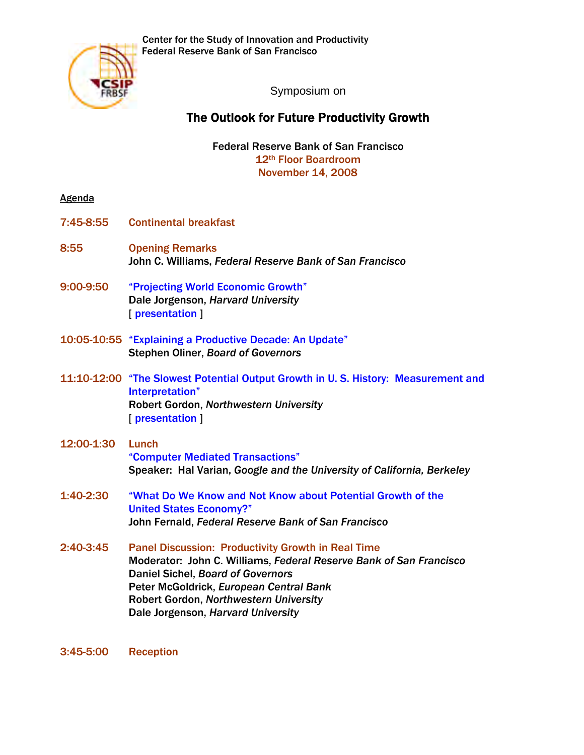

Symposium on

## The Outlook for Future Productivity Growth

Federal Reserve Bank of San Francisco 12th Floor Boardroom November 14, 2008

## **Agenda**

- 7:45-8:55 Continental breakfast
- 8:55 Opening Remarks John C. Williams, *Federal Reserve Bank of San Francisco*
- 9:00-9:50 ["Projecting World Economic Growth"](http://www.frbsf.org/csip/research/200811_Jorgenson.pdf) Dale Jorgenson, *Harvard University* [\[ presentation \]](http://www.frbsf.org/csip/research/200811_Jorgenson2.pdf)
- 10:05-10:55 ["Explaining a Productive Decade: An Update"](http://www.frbsf.org/csip/research/200811_Oliner.pdf) Stephen Oliner, *Board of Governors*
- 11:10-12:00 ["The Slowest Potential Output Growth in U. S. History: Measurement and](http://www.frbsf.org/csip/research/200811_Gordon.pdf)  Interpretation" Robert Gordon, *Northwestern University* [\[ presentation \]](http://www.frbsf.org/csip/research/200811_Gordon2.pdf)
- 12:00-1:30 Lunch ["Computer Mediated Transactions"](http://www.frbsf.org/csip/research/200811_Varian.pdf) Speaker: Hal Varian, *Google and the University of California, Berkeley*
- 1:40-2:30 ["What Do We Know and Not Know about Potential Growth of the](http://www.frbsf.org/csip/research/200811_Fernald.pdf)  United States Economy?" John Fernald, *Federal Reserve Bank of San Francisco*
- 2:40-3:45 Panel Discussion: Productivity Growth in Real Time Moderator: John C. Williams, *Federal Reserve Bank of San Francisco*  Daniel Sichel, *Board of Governors*  Peter McGoldrick, *European Central Bank*  Robert Gordon, *Northwestern University*  Dale Jorgenson, *Harvard University*

3:45-5:00 Reception